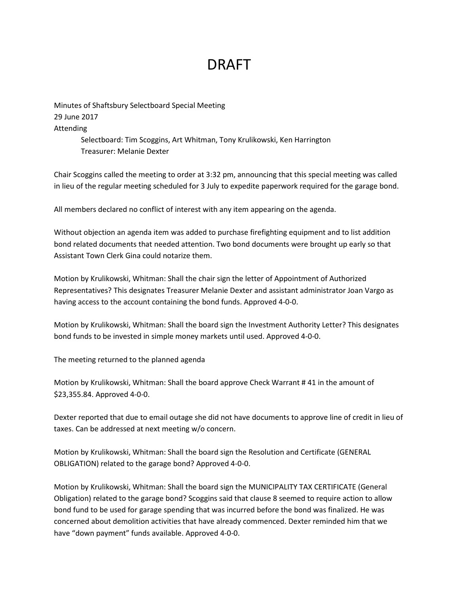## DRAFT

Minutes of Shaftsbury Selectboard Special Meeting 29 June 2017 Attending Selectboard: Tim Scoggins, Art Whitman, Tony Krulikowski, Ken Harrington Treasurer: Melanie Dexter

Chair Scoggins called the meeting to order at 3:32 pm, announcing that this special meeting was called in lieu of the regular meeting scheduled for 3 July to expedite paperwork required for the garage bond.

All members declared no conflict of interest with any item appearing on the agenda.

Without objection an agenda item was added to purchase firefighting equipment and to list addition bond related documents that needed attention. Two bond documents were brought up early so that Assistant Town Clerk Gina could notarize them.

Motion by Krulikowski, Whitman: Shall the chair sign the letter of Appointment of Authorized Representatives? This designates Treasurer Melanie Dexter and assistant administrator Joan Vargo as having access to the account containing the bond funds. Approved 4-0-0.

Motion by Krulikowski, Whitman: Shall the board sign the Investment Authority Letter? This designates bond funds to be invested in simple money markets until used. Approved 4-0-0.

The meeting returned to the planned agenda

Motion by Krulikowski, Whitman: Shall the board approve Check Warrant # 41 in the amount of \$23,355.84. Approved 4-0-0.

Dexter reported that due to email outage she did not have documents to approve line of credit in lieu of taxes. Can be addressed at next meeting w/o concern.

Motion by Krulikowski, Whitman: Shall the board sign the Resolution and Certificate (GENERAL OBLIGATION) related to the garage bond? Approved 4-0-0.

Motion by Krulikowski, Whitman: Shall the board sign the MUNICIPALITY TAX CERTIFICATE (General Obligation) related to the garage bond? Scoggins said that clause 8 seemed to require action to allow bond fund to be used for garage spending that was incurred before the bond was finalized. He was concerned about demolition activities that have already commenced. Dexter reminded him that we have "down payment" funds available. Approved 4-0-0.